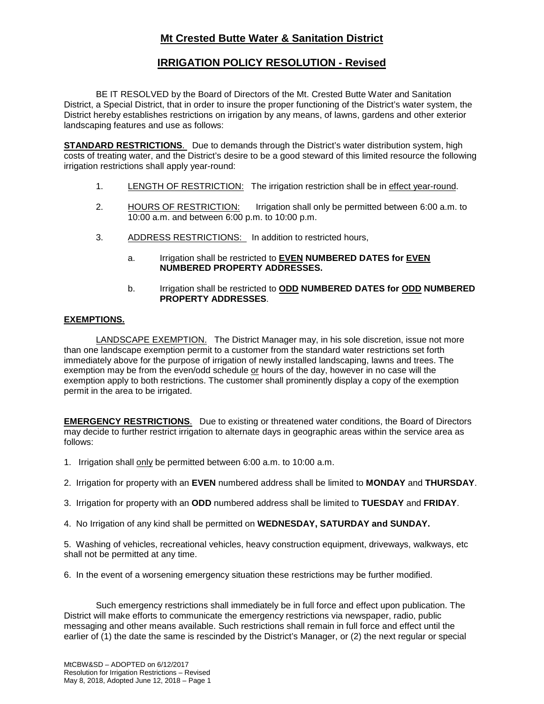# **Mt Crested Butte Water & Sanitation District**

## **IRRIGATION POLICY RESOLUTION - Revised**

BE IT RESOLVED by the Board of Directors of the Mt. Crested Butte Water and Sanitation District, a Special District, that in order to insure the proper functioning of the District's water system, the District hereby establishes restrictions on irrigation by any means, of lawns, gardens and other exterior landscaping features and use as follows:

**STANDARD RESTRICTIONS**. Due to demands through the District's water distribution system, high costs of treating water, and the District's desire to be a good steward of this limited resource the following irrigation restrictions shall apply year-round:

- 1. LENGTH OF RESTRICTION: The irrigation restriction shall be in effect year-round.
- 2. HOURS OF RESTRICTION: Irrigation shall only be permitted between 6:00 a.m. to 10:00 a.m. and between 6:00 p.m. to 10:00 p.m.
- 3. ADDRESS RESTRICTIONS: In addition to restricted hours,
	- a. Irrigation shall be restricted to **EVEN NUMBERED DATES for EVEN NUMBERED PROPERTY ADDRESSES.**
	- b. Irrigation shall be restricted to **ODD NUMBERED DATES for ODD NUMBERED PROPERTY ADDRESSES**.

### **EXEMPTIONS.**

LANDSCAPE EXEMPTION. The District Manager may, in his sole discretion, issue not more than one landscape exemption permit to a customer from the standard water restrictions set forth immediately above for the purpose of irrigation of newly installed landscaping, lawns and trees. The exemption may be from the even/odd schedule or hours of the day, however in no case will the exemption apply to both restrictions. The customer shall prominently display a copy of the exemption permit in the area to be irrigated.

**EMERGENCY RESTRICTIONS**. Due to existing or threatened water conditions, the Board of Directors may decide to further restrict irrigation to alternate days in geographic areas within the service area as follows:

- 1. Irrigation shall only be permitted between 6:00 a.m. to 10:00 a.m.
- 2. Irrigation for property with an **EVEN** numbered address shall be limited to **MONDAY** and **THURSDAY**.
- 3. Irrigation for property with an **ODD** numbered address shall be limited to **TUESDAY** and **FRIDAY**.
- 4. No Irrigation of any kind shall be permitted on **WEDNESDAY, SATURDAY and SUNDAY.**

5. Washing of vehicles, recreational vehicles, heavy construction equipment, driveways, walkways, etc shall not be permitted at any time.

6. In the event of a worsening emergency situation these restrictions may be further modified.

Such emergency restrictions shall immediately be in full force and effect upon publication. The District will make efforts to communicate the emergency restrictions via newspaper, radio, public messaging and other means available. Such restrictions shall remain in full force and effect until the earlier of (1) the date the same is rescinded by the District's Manager, or (2) the next regular or special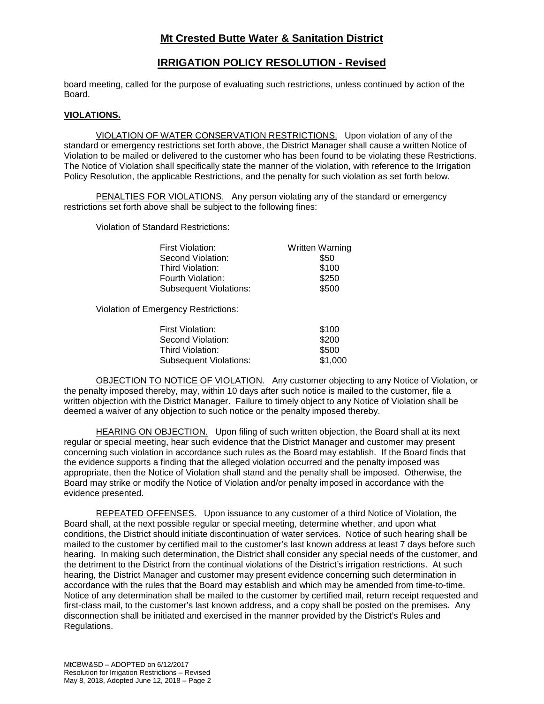## **Mt Crested Butte Water & Sanitation District**

### **IRRIGATION POLICY RESOLUTION - Revised**

board meeting, called for the purpose of evaluating such restrictions, unless continued by action of the Board.

#### **VIOLATIONS.**

VIOLATION OF WATER CONSERVATION RESTRICTIONS. Upon violation of any of the standard or emergency restrictions set forth above, the District Manager shall cause a written Notice of Violation to be mailed or delivered to the customer who has been found to be violating these Restrictions. The Notice of Violation shall specifically state the manner of the violation, with reference to the Irrigation Policy Resolution, the applicable Restrictions, and the penalty for such violation as set forth below.

PENALTIES FOR VIOLATIONS. Any person violating any of the standard or emergency restrictions set forth above shall be subject to the following fines:

Violation of Standard Restrictions:

| First Violation:              | <b>Written Warning</b> |
|-------------------------------|------------------------|
| Second Violation:             | \$50                   |
| Third Violation:              | \$100                  |
| Fourth Violation:             | \$250                  |
| <b>Subsequent Violations:</b> | \$500                  |

Violation of Emergency Restrictions:

| First Violation:              | \$100   |
|-------------------------------|---------|
| Second Violation:             | \$200   |
| Third Violation:              | \$500   |
| <b>Subsequent Violations:</b> | \$1,000 |

OBJECTION TO NOTICE OF VIOLATION. Any customer objecting to any Notice of Violation, or the penalty imposed thereby, may, within 10 days after such notice is mailed to the customer, file a written objection with the District Manager. Failure to timely object to any Notice of Violation shall be deemed a waiver of any objection to such notice or the penalty imposed thereby.

HEARING ON OBJECTION. Upon filing of such written objection, the Board shall at its next regular or special meeting, hear such evidence that the District Manager and customer may present concerning such violation in accordance such rules as the Board may establish. If the Board finds that the evidence supports a finding that the alleged violation occurred and the penalty imposed was appropriate, then the Notice of Violation shall stand and the penalty shall be imposed. Otherwise, the Board may strike or modify the Notice of Violation and/or penalty imposed in accordance with the evidence presented.

REPEATED OFFENSES. Upon issuance to any customer of a third Notice of Violation, the Board shall, at the next possible regular or special meeting, determine whether, and upon what conditions, the District should initiate discontinuation of water services. Notice of such hearing shall be mailed to the customer by certified mail to the customer's last known address at least 7 days before such hearing. In making such determination, the District shall consider any special needs of the customer, and the detriment to the District from the continual violations of the District's irrigation restrictions. At such hearing, the District Manager and customer may present evidence concerning such determination in accordance with the rules that the Board may establish and which may be amended from time-to-time. Notice of any determination shall be mailed to the customer by certified mail, return receipt requested and first-class mail, to the customer's last known address, and a copy shall be posted on the premises. Any disconnection shall be initiated and exercised in the manner provided by the District's Rules and Regulations.